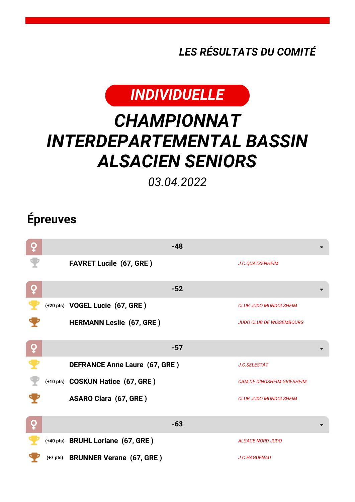*LES RÉSULTATS DU COMITÉ*



## *CHAMPIONNAT INTERDEPARTEMENTAL BASSIN ALSACIEN SENIORS*

*03.04.2022*

## **Épreuves**

| ò |                                      | $-48$ |                                   |
|---|--------------------------------------|-------|-----------------------------------|
|   | <b>FAVRET Lucile (67, GRE)</b>       |       | J.C.QUATZENHEIM                   |
| ò |                                      | $-52$ |                                   |
|   | (+20 pts) VOGEL Lucie (67, GRE)      |       | <b>CLUB JUDO MUNDOLSHEIM</b>      |
|   | <b>HERMANN Leslie (67, GRE)</b>      |       | <b>JUDO CLUB DE WISSEMBOURG</b>   |
| ò |                                      | $-57$ |                                   |
|   | <b>DEFRANCE Anne Laure (67, GRE)</b> |       | J.C.SELESTAT                      |
|   | (+10 pts) COSKUN Hatice (67, GRE)    |       | <b>CAM DE DINGSHEIM GRIESHEIM</b> |
|   | <b>ASARO Clara (67, GRE)</b>         |       | <b>CLUB JUDO MUNDOLSHEIM</b>      |
| Q |                                      | $-63$ |                                   |
|   | (+40 pts) BRUHL Loriane (67, GRE)    |       | <b>ALSACE NORD JUDO</b>           |
|   | (+7 pts) BRUNNER Verane (67, GRE)    |       | <b>J.C.HAGUENAU</b>               |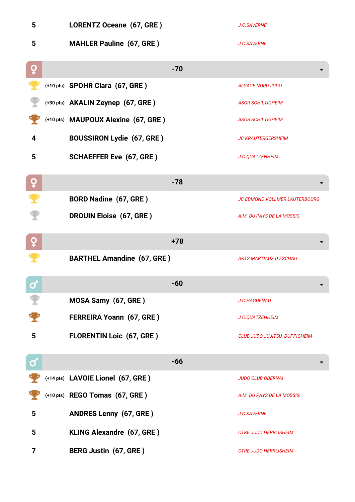| 5         | LORENTZ Oceane (67, GRE)            |       | <b>J.C.SAVERNE</b>                   |
|-----------|-------------------------------------|-------|--------------------------------------|
| 5         | <b>MAHLER Pauline (67, GRE)</b>     |       | <b>J.C.SAVERNE</b>                   |
| Q         |                                     | $-70$ |                                      |
|           | (+10 pts) SPOHR Clara (67, GRE)     |       | <b>ALSACE NORD JUDO</b>              |
|           | (+30 pts) AKALIN Zeynep (67, GRE)   |       | <b>ASOR SCHILTIGHEIM</b>             |
|           | (+10 pts) MAUPOUX Alexine (67, GRE) |       | <b>ASOR SCHILTIGHEIM</b>             |
| 4         | <b>BOUSSIRON Lydie (67, GRE)</b>    |       | <b>JC KRAUTERGERSHEIM</b>            |
| 5         | <b>SCHAEFFER Eve (67, GRE)</b>      |       | J.C.QUATZENHEIM                      |
| ò         |                                     | $-78$ |                                      |
|           | <b>BORD Nadine (67, GRE)</b>        |       | <b>JC EDMOND VOLLMER LAUTERBOURG</b> |
|           | <b>DROUIN Eloise (67, GRE)</b>      |       | A.M. DU PAYS DE LA MOSSIG            |
|           |                                     |       |                                      |
| ò         |                                     | $+78$ |                                      |
|           | <b>BARTHEL Amandine (67, GRE)</b>   |       | <b>ARTS MARTIAUX D ESCHAU</b>        |
| $\bullet$ |                                     | -60   |                                      |
|           | MOSA Samy (67, GRE)                 |       | <b>J.C.HAGUENAU</b>                  |
|           | FERREIRA Yoann (67, GRE)            |       | J.C.QUATZENHEIM                      |
| 5         | <b>FLORENTIN Loic (67, GRE)</b>     |       | <b>CLUB JUDO JUJITSU DUPPIGHEIM</b>  |
| Ø         |                                     | $-66$ |                                      |
|           | (+14 pts) LAVOIE Lionel (67, GRE)   |       | <b>JUDO CLUB OBERNAI</b>             |
|           | (+10 pts) REGO Tomas (67, GRE)      |       | A.M. DU PAYS DE LA MOSSIG            |
| 5         | <b>ANDRES Lenny (67, GRE)</b>       |       | <b>J.C.SAVERNE</b>                   |
| 5         | KLING Alexandre (67, GRE)           |       | <b>CTRE JUDO HERRLISHEIM</b>         |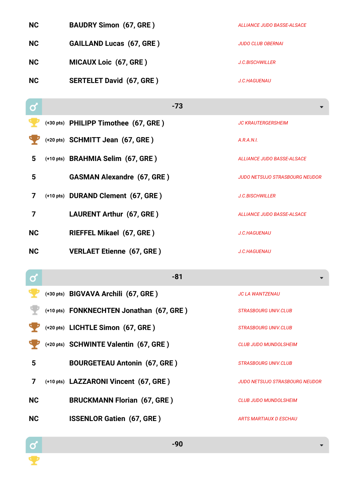| <b>NC</b> | <b>BAUDRY Simon (67, GRE)</b>            | ALLIANCE JUDO BASSE-ALSACE            |
|-----------|------------------------------------------|---------------------------------------|
| <b>NC</b> | <b>GAILLAND Lucas (67, GRE)</b>          | <b>JUDO CLUB OBERNAI</b>              |
| <b>NC</b> | <b>MICAUX Loic (67, GRE)</b>             | <b>J.C.BISCHWILLER</b>                |
| <b>NC</b> | <b>SERTELET David (67, GRE)</b>          | J.C.HAGUENAU                          |
| σ         | $-73$                                    |                                       |
|           | (+30 pts) PHILIPP Timothee (67, GRE)     | <b>JC KRAUTERGERSHEIM</b>             |
|           | (+20 pts) SCHMITT Jean (67, GRE)         | A.R.A.N.I.                            |
| 5         | (+10 pts) BRAHMIA Selim (67, GRE)        | <b>ALLIANCE JUDO BASSE-ALSACE</b>     |
| 5         | <b>GASMAN Alexandre (67, GRE)</b>        | <b>JUDO NETSUJO STRASBOURG NEUDOR</b> |
| 7         | (+10 pts) DURAND Clement (67, GRE)       | <b>J.C.BISCHWILLER</b>                |
| 7         | <b>LAURENT Arthur (67, GRE)</b>          | <b>ALLIANCE JUDO BASSE-ALSACE</b>     |
| <b>NC</b> | <b>RIEFFEL Mikael (67, GRE)</b>          | <b>J.C.HAGUENAU</b>                   |
| <b>NC</b> | <b>VERLAET Etienne (67, GRE)</b>         | <b>J.C.HAGUENAU</b>                   |
|           |                                          |                                       |
| ර         | $-81$                                    |                                       |
|           | (+30 pts) BIGVAVA Archili (67, GRE)      | <b>JC LA WANTZENAU</b>                |
|           | (+10 pts) FONKNECHTEN Jonathan (67, GRE) | <i><b>STRASBOURG UNIV.CLUB</b></i>    |
|           | (+20 pts) LICHTLE Simon (67, GRE)        | <i><b>STRASBOURG UNIV.CLUB</b></i>    |
|           | (+20 pts) SCHWINTE Valentin (67, GRE)    | <b>CLUB JUDO MUNDOLSHEIM</b>          |

**5 BOURGETEAU Antonin (67, GRE )** *STRASBOURG UNIV.CLUB*

**7 (+10 pts) LAZZARONI Vincent (67, GRE )** *JUDO NETSUJO STRASBOURG NEUDOR*

**NC BRUCKMANN Florian (67, GRE )** *CLUB JUDO MUNDOLSHEIM*

**NC ISSENLOR Gatien (67, GRE)** *ARTS MARTIAUX D ESCHAU* 

 $\frac{1}{2}$